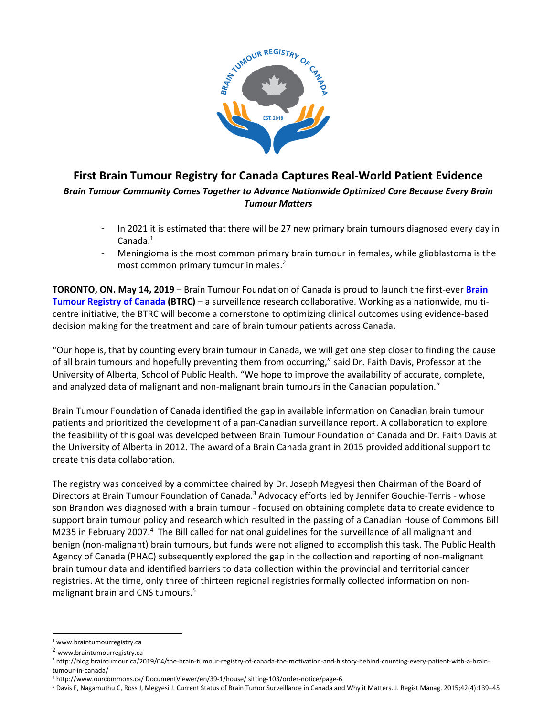

## First Brain Tumour Registry for Canada Captures Real-World Patient Evidence Brain Tumour Community Comes Together to Advance Nationwide Optimized Care Because Every Brain Tumour Matters

- In 2021 it is estimated that there will be 27 new primary brain tumours diagnosed every day in Canada.<sup>1</sup>
- Meningioma is the most common primary brain tumour in females, while glioblastoma is the most common primary tumour in males.<sup>2</sup>

TORONTO, ON. May 14, 2019 – Brain Tumour Foundation of Canada is proud to launch the first-ever Brain Tumour Registry of Canada (BTRC) – a surveillance research collaborative. Working as a nationwide, multicentre initiative, the BTRC will become a cornerstone to optimizing clinical outcomes using evidence-based decision making for the treatment and care of brain tumour patients across Canada.

"Our hope is, that by counting every brain tumour in Canada, we will get one step closer to finding the cause of all brain tumours and hopefully preventing them from occurring," said Dr. Faith Davis, Professor at the University of Alberta, School of Public Health. "We hope to improve the availability of accurate, complete, and analyzed data of malignant and non-malignant brain tumours in the Canadian population."

Brain Tumour Foundation of Canada identified the gap in available information on Canadian brain tumour patients and prioritized the development of a pan-Canadian surveillance report. A collaboration to explore the feasibility of this goal was developed between Brain Tumour Foundation of Canada and Dr. Faith Davis at the University of Alberta in 2012. The award of a Brain Canada grant in 2015 provided additional support to create this data collaboration.

The registry was conceived by a committee chaired by Dr. Joseph Megyesi then Chairman of the Board of Directors at Brain Tumour Foundation of Canada.<sup>3</sup> Advocacy efforts led by Jennifer Gouchie-Terris - whose son Brandon was diagnosed with a brain tumour - focused on obtaining complete data to create evidence to support brain tumour policy and research which resulted in the passing of a Canadian House of Commons Bill M235 in February 2007.<sup>4</sup> The Bill called for national guidelines for the surveillance of all malignant and benign (non-malignant) brain tumours, but funds were not aligned to accomplish this task. The Public Health Agency of Canada (PHAC) subsequently explored the gap in the collection and reporting of non-malignant brain tumour data and identified barriers to data collection within the provincial and territorial cancer registries. At the time, only three of thirteen regional registries formally collected information on nonmalignant brain and CNS tumours.<sup>5</sup>

L

<sup>1</sup> www.braintumourregistry.ca

 $2$  www.braintumourregistry.ca

<sup>3</sup> http://blog.braintumour.ca/2019/04/the-brain-tumour-registry-of-canada-the-motivation-and-history-behind-counting-every-patient-with-a-braintumour-in-canada/

<sup>4</sup> http://www.ourcommons.ca/ DocumentViewer/en/39-1/house/ sitting-103/order-notice/page-6

<sup>5</sup> Davis F, Nagamuthu C, Ross J, Megyesi J. Current Status of Brain Tumor Surveillance in Canada and Why it Matters. J. Regist Manag. 2015;42(4):139–45